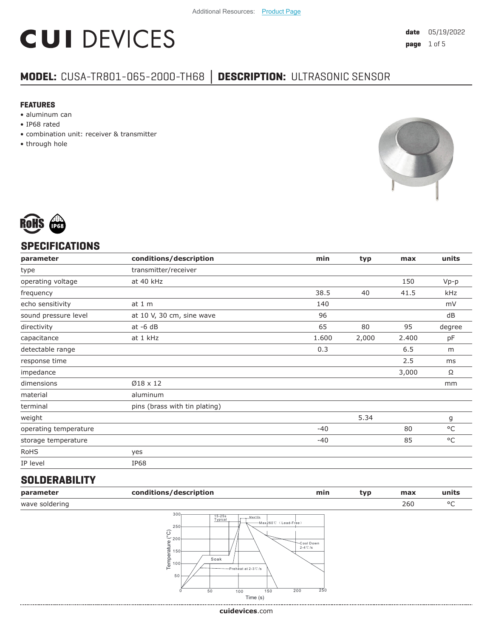# **CUI DEVICES**

### **MODEL:** CUSA-TR801-065-2000-TH68 **│ DESCRIPTION:** ULTRASONIC SENSOR

#### **FEATURES**

- aluminum can
- IP68 rated
- combination unit: receiver & transmitter
- through hole





#### **SPECIFICATIONS**

| parameter             | conditions/description        | min   | typ   | max   | units  |
|-----------------------|-------------------------------|-------|-------|-------|--------|
| type                  | transmitter/receiver          |       |       |       |        |
| operating voltage     | at 40 kHz                     |       |       | 150   | $Vp-p$ |
| frequency             |                               | 38.5  | 40    | 41.5  | kHz    |
| echo sensitivity      | at $1m$                       | 140   |       |       | mV     |
| sound pressure level  | at 10 V, 30 cm, sine wave     | 96    |       |       | dB     |
| directivity           | $at -6 dB$                    | 65    | 80    | 95    | degree |
| capacitance           | at 1 kHz                      | 1.600 | 2,000 | 2.400 | pF     |
| detectable range      |                               | 0.3   |       | 6.5   | m      |
| response time         |                               |       |       | 2.5   | ms     |
| impedance             |                               |       |       | 3,000 | Ω      |
| dimensions            | Ø18 x 12                      |       |       |       | mm     |
| material              | aluminum                      |       |       |       |        |
| terminal              | pins (brass with tin plating) |       |       |       |        |
| weight                |                               |       | 5.34  |       | g      |
| operating temperature |                               | $-40$ |       | 80    | °C     |
| storage temperature   |                               | $-40$ |       | 85    | °C     |
| RoHS                  | yes                           |       |       |       |        |
| IP level              | IP68                          |       |       |       |        |
|                       |                               |       |       |       |        |

#### **SOLDERABILITY**

| parameter      | conditions/description                                                                                                                                                                  | min                                    | typ | max | units |
|----------------|-----------------------------------------------------------------------------------------------------------------------------------------------------------------------------------------|----------------------------------------|-----|-----|-------|
| wave soldering |                                                                                                                                                                                         |                                        |     | 260 | °C    |
|                | 300 <sub>1</sub><br>$15 - 25s$<br>Max10s<br>Typical<br>-Max260℃ (Lead-Free)<br>250<br>$\widehat{\wp}$<br>$-200$<br>Temperature<br>Soak<br>— Preheat at 2-3℃/s<br>50<br>50<br>150<br>100 | Cool Down<br>$2-4$ °C /s<br>250<br>200 |     |     |       |

**cui[devices](https://www.cuidevices.com/track?actionLabel=Datasheet-ClickThrough-HomePage&label=CUSA-TR801-065-2000-TH68.pdf&path=/)**.com

Time (s)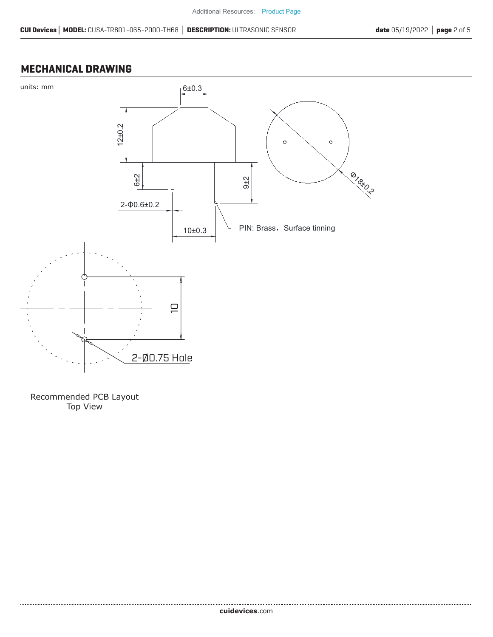#### **MECHANICAL DRAWING**



Recommended PCB Layout Top View

....................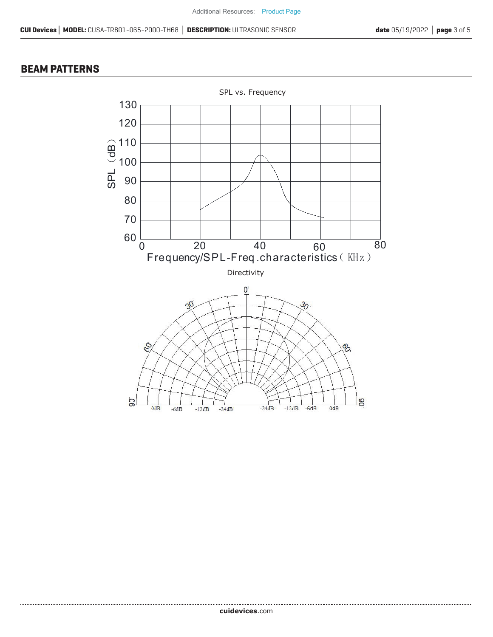#### **BEAM PATTERNS**

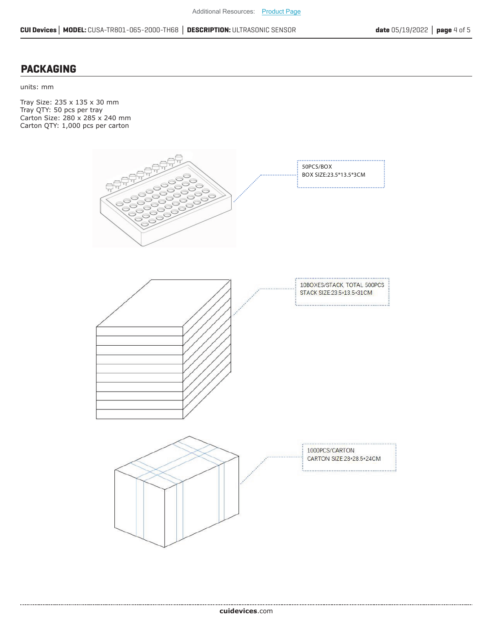#### **PACKAGING**

units: mm

Tray Size: 235 x 135 x 30 mm Tray QTY: 50 pcs per tray Carton Size: 280 x 285 x 240 mm Carton QTY: 1,000 pcs per carton